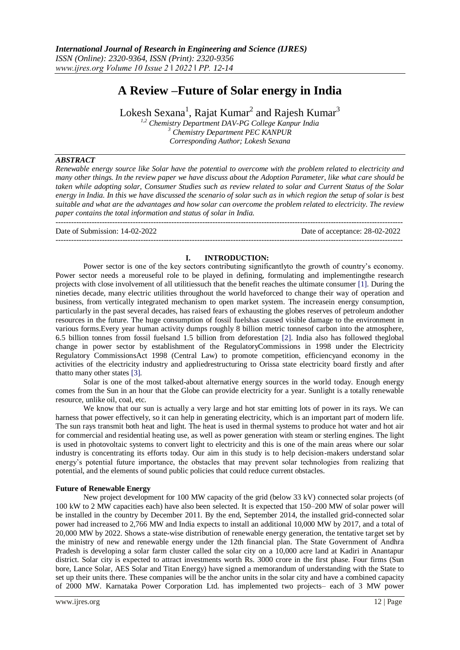$-1.1$ 

# **A Review –Future of Solar energy in India**

Lokesh Sexana $^1$ , Rajat Kumar $^2$  and Rajesh Kumar $^3$ 

*1,2 Chemistry Department DAV-PG College Kanpur India <sup>3</sup> Chemistry Department PEC KANPUR Corresponding Author; Lokesh Sexana*

## *ABSTRACT*

*Renewable energy source like Solar have the potential to overcome with the problem related to electricity and many other things. In the review paper we have discuss about the Adoption Parameter, like what care should be taken while adopting solar, Consumer Studies such as review related to solar and Current Status of the Solar energy in India. In this we have discussed the scenario of solar such as in which region the setup of solar is best suitable and what are the advantages and how solar can overcome the problem related to electricity. The review paper contains the total information and status of solar in India.*

Date of Submission: 14-02-2022 Date of acceptance: 28-02-2022

#### **I. INTRODUCTION:**

---------------------------------------------------------------------------------------------------------------------------------------

Power sector is one of the key sectors contributing significantlyto the growth of country's economy. Power sector needs a moreuseful role to be played in defining, formulating and implementingthe research projects with close involvement of all utilitiessuch that the benefit reaches the ultimate consumer [1]. During the nineties decade, many electric utilities throughout the world haveforced to change their way of operation and business, from vertically integrated mechanism to open market system. The increasein energy consumption, particularly in the past several decades, has raised fears of exhausting the globes reserves of petroleum andother resources in the future. The huge consumption of fossil fuelshas caused visible damage to the environment in various forms.Every year human activity dumps roughly 8 billion metric tonnesof carbon into the atmosphere, 6.5 billion tonnes from fossil fuelsand 1.5 billion from deforestation [2]. India also has followed theglobal change in power sector by establishment of the RegulatoryCommissions in 1998 under the Electricity Regulatory CommissionsAct 1998 (Central Law) to promote competition, efficiencyand economy in the activities of the electricity industry and appliedrestructuring to Orissa state electricity board firstly and after thatto many other states [3].

Solar is one of the most talked-about alternative energy sources in the world today. Enough energy comes from the Sun in an hour that the Globe can provide electricity for a year. Sunlight is a totally renewable resource, unlike oil, coal, etc.

We know that our sun is actually a very large and hot star emitting lots of power in its rays. We can harness that power effectively, so it can help in generating electricity, which is an important part of modern life. The sun rays transmit both heat and light. The heat is used in thermal systems to produce hot water and hot air for commercial and residential heating use, as well as power generation with steam or sterling engines. The light is used in photovoltaic systems to convert light to electricity and this is one of the main areas where our solar industry is concentrating its efforts today. Our aim in this study is to help decision-makers understand solar energy's potential future importance, the obstacles that may prevent solar technologies from realizing that potential, and the elements of sound public policies that could reduce current obstacles.

#### **Future of Renewable Energy**

New project development for 100 MW capacity of the grid (below 33 kV) connected solar projects (of 100 kW to 2 MW capacities each) have also been selected. It is expected that 150–200 MW of solar power will be installed in the country by December 2011. By the end, September 2014, the installed grid-connected solar power had increased to 2,766 MW and India expects to install an additional 10,000 MW by 2017, and a total of 20,000 MW by 2022. Shows a state-wise distribution of renewable energy generation, the tentative target set by the ministry of new and renewable energy under the 12th financial plan. The State Government of Andhra Pradesh is developing a solar farm cluster called the solar city on a 10,000 acre land at Kadiri in Anantapur district. Solar city is expected to attract investments worth Rs. 3000 crore in the first phase. Four firms (Sun bore, Lance Solar, AES Solar and Titan Energy) have signed a memorandum of understanding with the State to set up their units there. These companies will be the anchor units in the solar city and have a combined capacity of 2000 MW. Karnataka Power Corporation Ltd. has implemented two projects– each of 3 MW power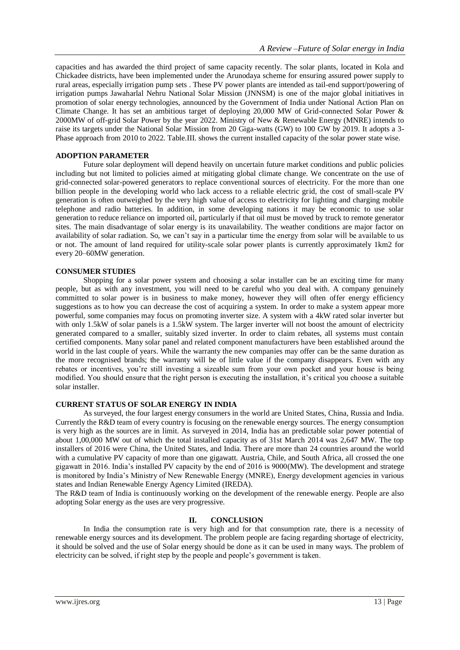capacities and has awarded the third project of same capacity recently. The solar plants, located in Kola and Chickadee districts, have been implemented under the Arunodaya scheme for ensuring assured power supply to rural areas, especially irrigation pump sets . These PV power plants are intended as tail-end support/powering of irrigation pumps Jawaharlal Nehru National Solar Mission (JNNSM) is one of the major global initiatives in promotion of solar energy technologies, announced by the Government of India under National Action Plan on Climate Change. It has set an ambitious target of deploying 20,000 MW of Grid-connected Solar Power & 2000MW of off-grid Solar Power by the year 2022. Ministry of New & Renewable Energy (MNRE) intends to raise its targets under the National Solar Mission from 20 Giga-watts (GW) to 100 GW by 2019. It adopts a 3- Phase approach from 2010 to 2022. Table.III. shows the current installed capacity of the solar power state wise.

## **ADOPTION PARAMETER**

Future solar deployment will depend heavily on uncertain future market conditions and public policies including but not limited to policies aimed at mitigating global climate change. We concentrate on the use of grid-connected solar-powered generators to replace conventional sources of electricity. For the more than one billion people in the developing world who lack access to a reliable electric grid, the cost of small-scale PV generation is often outweighed by the very high value of access to electricity for lighting and charging mobile telephone and radio batteries. In addition, in some developing nations it may be economic to use solar generation to reduce reliance on imported oil, particularly if that oil must be moved by truck to remote generator sites. The main disadvantage of solar energy is its unavailability. The weather conditions are major factor on availability of solar radiation. So, we can't say in a particular time the energy from solar will be available to us or not. The amount of land required for utility-scale solar power plants is currently approximately 1km2 for every 20–60MW generation.

## **CONSUMER STUDIES**

Shopping for a solar power system and choosing a solar installer can be an exciting time for many people, but as with any investment, you will need to be careful who you deal with. A company genuinely committed to solar power is in business to make money, however they will often offer energy efficiency suggestions as to how you can decrease the cost of acquiring a system. In order to make a system appear more powerful, some companies may focus on promoting inverter size. A system with a 4kW rated solar inverter but with only 1.5kW of solar panels is a 1.5kW system. The larger inverter will not boost the amount of electricity generated compared to a smaller, suitably sized inverter. In order to claim rebates, all systems must contain certified components. Many solar panel and related component manufacturers have been established around the world in the last couple of years. While the warranty the new companies may offer can be the same duration as the more recognised brands; the warranty will be of little value if the company disappears. Even with any rebates or incentives, you're still investing a sizeable sum from your own pocket and your house is being modified. You should ensure that the right person is executing the installation, it's critical you choose a suitable solar installer.

## **CURRENT STATUS OF SOLAR ENERGY IN INDIA**

As surveyed, the four largest energy consumers in the world are United States, China, Russia and India. Currently the R&D team of every country is focusing on the renewable energy sources. The energy consumption is very high as the sources are in limit. As surveyed in 2014, India has an predictable solar power potential of about 1,00,000 MW out of which the total installed capacity as of 31st March 2014 was 2,647 MW. The top installers of 2016 were China, the United States, and India. There are more than 24 countries around the world with a cumulative PV capacity of more than one gigawatt. Austria, Chile, and South Africa, all crossed the one gigawatt in 2016. India's installed PV capacity by the end of 2016 is 9000(MW). The development and stratege is monitored by India's Ministry of New Renewable Energy (MNRE), Energy development agencies in various states and Indian Renewable Energy Agency Limited (IREDA).

The R&D team of India is continuously working on the development of the renewable energy. People are also adopting Solar energy as the uses are very progressive.

## **II. CONCLUSION**

In India the consumption rate is very high and for that consumption rate, there is a necessity of renewable energy sources and its development. The problem people are facing regarding shortage of electricity, it should be solved and the use of Solar energy should be done as it can be used in many ways. The problem of electricity can be solved, if right step by the people and people's government is taken.